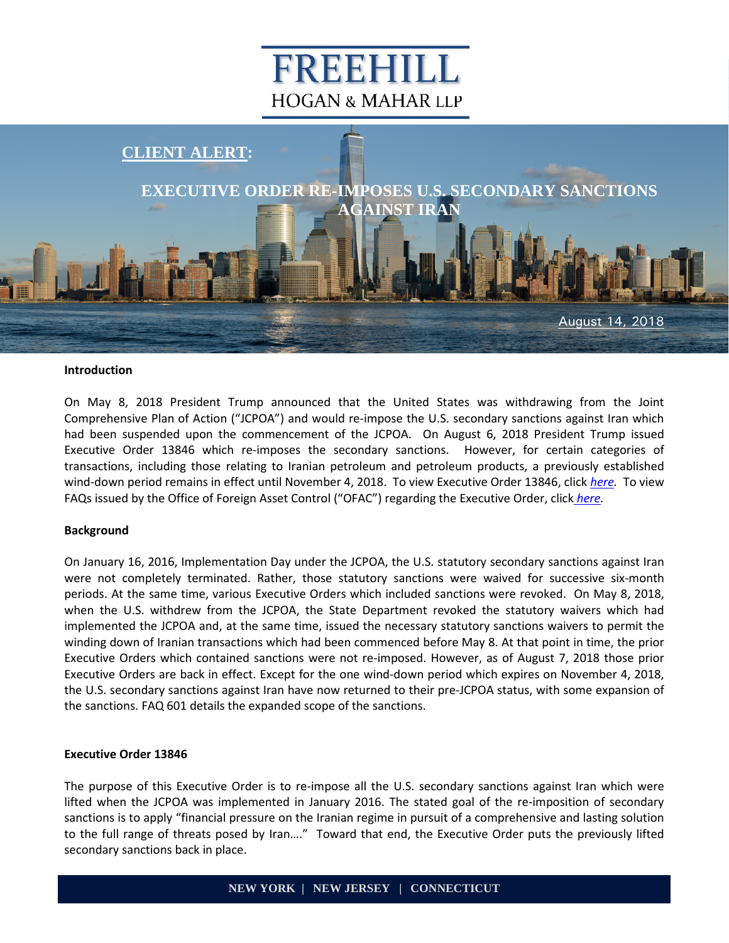# FREEHILL **HOGAN & MAHAR LLP**



#### **Introduction**

On May 8, 2018 President Trump announced that the United States was withdrawing from the Joint Comprehensive Plan of Action ("JCPOA") and would re-impose the U.S. secondary sanctions against Iran which had been suspended upon the commencement of the JCPOA. On August 6, 2018 President Trump issued Executive Order 13846 which re-imposes the secondary sanctions. However, for certain categories of transactions, including those relating to Iranian petroleum and petroleum products, a previously established wind-down period remains in effect until November 4, 2018. To view Executive Order 13846, click *[here.](https://www.freehill.com/wp-content/uploads/2018/08/NYDOCS1-489920-v1-Executive_Order_for_Client_Alert_8_14_18.pdf)* To view FAQs issued by the Office of Foreign Asset Control ("OFAC") regarding the Executive Order, click *[here.](https://www.freehill.com/wp-content/uploads/2018/08/NYDOCS1-489921-v1-FAQs_regarding_Executive_Order.pdf)*

#### **Background**

On January 16, 2016, Implementation Day under the JCPOA, the U.S. statutory secondary sanctions against Iran were not completely terminated. Rather, those statutory sanctions were waived for successive six-month periods. At the same time, various Executive Orders which included sanctions were revoked. On May 8, 2018, when the U.S. withdrew from the JCPOA, the State Department revoked the statutory waivers which had implemented the JCPOA and, at the same time, issued the necessary statutory sanctions waivers to permit the winding down of Iranian transactions which had been commenced before May 8. At that point in time, the prior Executive Orders which contained sanctions were not re-imposed. However, as of August 7, 2018 those prior Executive Orders are back in effect. Except for the one wind-down period which expires on November 4, 2018, the U.S. secondary sanctions against Iran have now returned to their pre-JCPOA status, with some expansion of the sanctions. FAQ 601 details the expanded scope of the sanctions.

#### **Executive Order 13846**

The purpose of this Executive Order is to re-impose all the U.S. secondary sanctions against Iran which were lifted when the JCPOA was implemented in January 2016. The stated goal of the re-imposition of secondary sanctions is to apply "financial pressure on the Iranian regime in pursuit of a comprehensive and lasting solution to the full range of threats posed by Iran…." Toward that end, the Executive Order puts the previously lifted secondary sanctions back in place.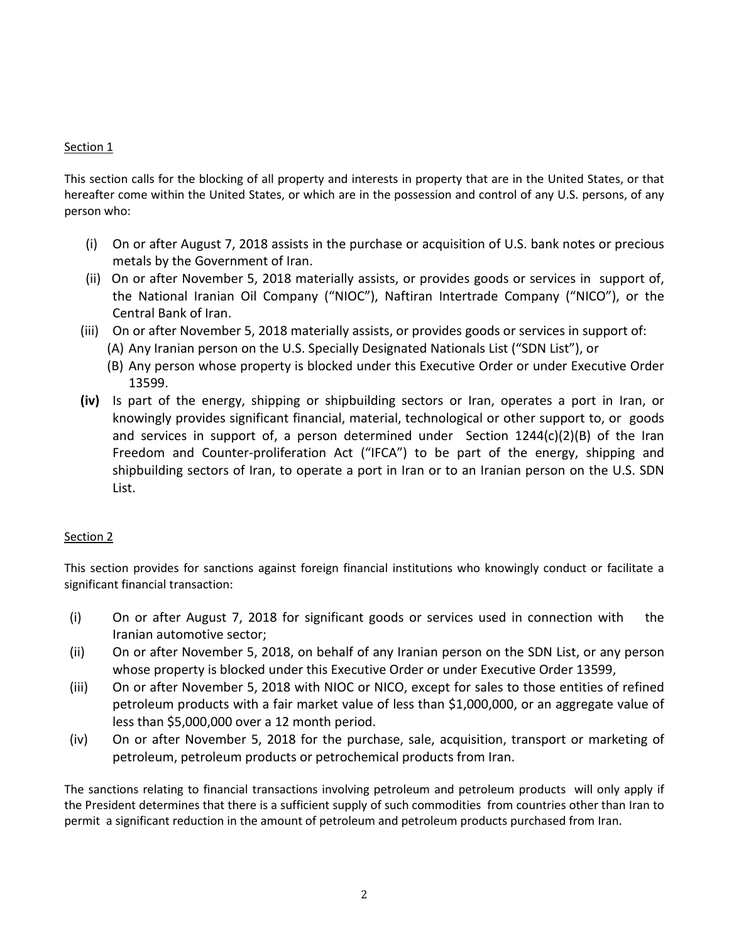#### Section 1

This section calls for the blocking of all property and interests in property that are in the United States, or that hereafter come within the United States, or which are in the possession and control of any U.S. persons, of any person who:

- (i) On or after August 7, 2018 assists in the purchase or acquisition of U.S. bank notes or precious metals by the Government of Iran.
- (ii) On or after November 5, 2018 materially assists, or provides goods or services in support of, the National Iranian Oil Company ("NIOC"), Naftiran Intertrade Company ("NICO"), or the Central Bank of Iran.
- (iii) On or after November 5, 2018 materially assists, or provides goods or services in support of:
	- (A) Any Iranian person on the U.S. Specially Designated Nationals List ("SDN List"), or
	- (B) Any person whose property is blocked under this Executive Order or under Executive Order 13599.
- **(iv)** Is part of the energy, shipping or shipbuilding sectors or Iran, operates a port in Iran, or knowingly provides significant financial, material, technological or other support to, or goods and services in support of, a person determined under Section  $1244(c)(2)(B)$  of the Iran Freedom and Counter-proliferation Act ("IFCA") to be part of the energy, shipping and shipbuilding sectors of Iran, to operate a port in Iran or to an Iranian person on the U.S. SDN List.

#### Section 2

This section provides for sanctions against foreign financial institutions who knowingly conduct or facilitate a significant financial transaction:

- (i) On or after August 7, 2018 for significant goods or services used in connection with the Iranian automotive sector;
- (ii) On or after November 5, 2018, on behalf of any Iranian person on the SDN List, or any person whose property is blocked under this Executive Order or under Executive Order 13599,
- (iii) On or after November 5, 2018 with NIOC or NICO, except for sales to those entities of refined petroleum products with a fair market value of less than \$1,000,000, or an aggregate value of less than \$5,000,000 over a 12 month period.
- (iv) On or after November 5, 2018 for the purchase, sale, acquisition, transport or marketing of petroleum, petroleum products or petrochemical products from Iran.

The sanctions relating to financial transactions involving petroleum and petroleum products will only apply if the President determines that there is a sufficient supply of such commodities from countries other than Iran to permit a significant reduction in the amount of petroleum and petroleum products purchased from Iran.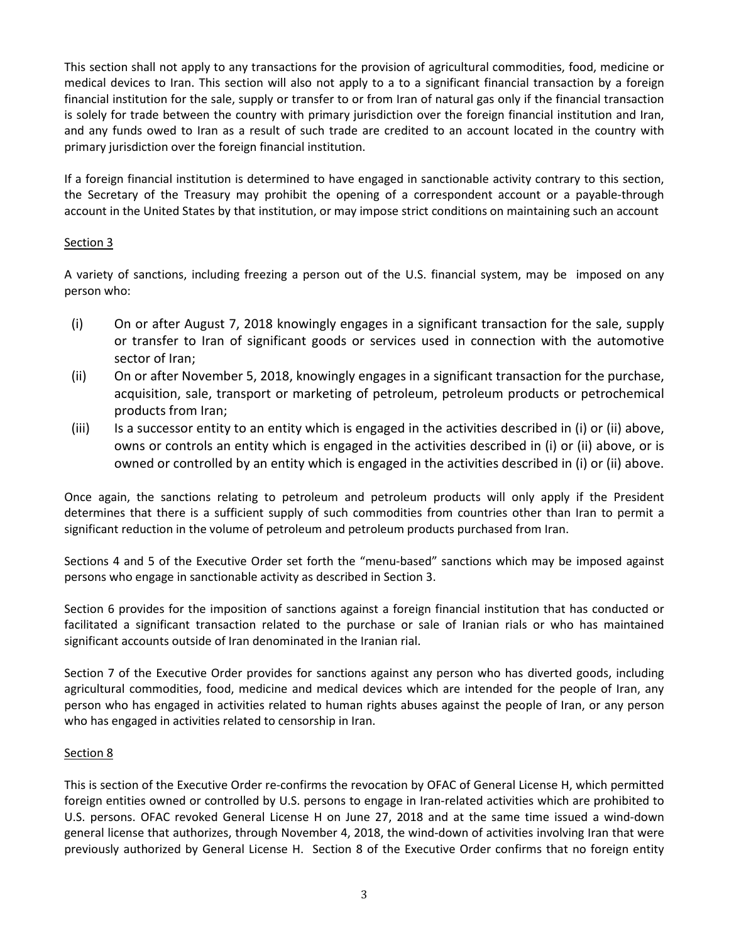This section shall not apply to any transactions for the provision of agricultural commodities, food, medicine or medical devices to Iran. This section will also not apply to a to a significant financial transaction by a foreign financial institution for the sale, supply or transfer to or from Iran of natural gas only if the financial transaction is solely for trade between the country with primary jurisdiction over the foreign financial institution and Iran, and any funds owed to Iran as a result of such trade are credited to an account located in the country with primary jurisdiction over the foreign financial institution.

If a foreign financial institution is determined to have engaged in sanctionable activity contrary to this section, the Secretary of the Treasury may prohibit the opening of a correspondent account or a payable-through account in the United States by that institution, or may impose strict conditions on maintaining such an account

## Section 3

A variety of sanctions, including freezing a person out of the U.S. financial system, may be imposed on any person who:

- (i) On or after August 7, 2018 knowingly engages in a significant transaction for the sale, supply or transfer to Iran of significant goods or services used in connection with the automotive sector of Iran;
- (ii) On or after November 5, 2018, knowingly engages in a significant transaction for the purchase, acquisition, sale, transport or marketing of petroleum, petroleum products or petrochemical products from Iran;
- (iii) Is a successor entity to an entity which is engaged in the activities described in (i) or (ii) above, owns or controls an entity which is engaged in the activities described in (i) or (ii) above, or is owned or controlled by an entity which is engaged in the activities described in (i) or (ii) above.

Once again, the sanctions relating to petroleum and petroleum products will only apply if the President determines that there is a sufficient supply of such commodities from countries other than Iran to permit a significant reduction in the volume of petroleum and petroleum products purchased from Iran.

Sections 4 and 5 of the Executive Order set forth the "menu-based" sanctions which may be imposed against persons who engage in sanctionable activity as described in Section 3.

Section 6 provides for the imposition of sanctions against a foreign financial institution that has conducted or facilitated a significant transaction related to the purchase or sale of Iranian rials or who has maintained significant accounts outside of Iran denominated in the Iranian rial.

Section 7 of the Executive Order provides for sanctions against any person who has diverted goods, including agricultural commodities, food, medicine and medical devices which are intended for the people of Iran, any person who has engaged in activities related to human rights abuses against the people of Iran, or any person who has engaged in activities related to censorship in Iran.

## Section 8

This is section of the Executive Order re-confirms the revocation by OFAC of General License H, which permitted foreign entities owned or controlled by U.S. persons to engage in Iran-related activities which are prohibited to U.S. persons. OFAC revoked General License H on June 27, 2018 and at the same time issued a wind-down general license that authorizes, through November 4, 2018, the wind-down of activities involving Iran that were previously authorized by General License H. Section 8 of the Executive Order confirms that no foreign entity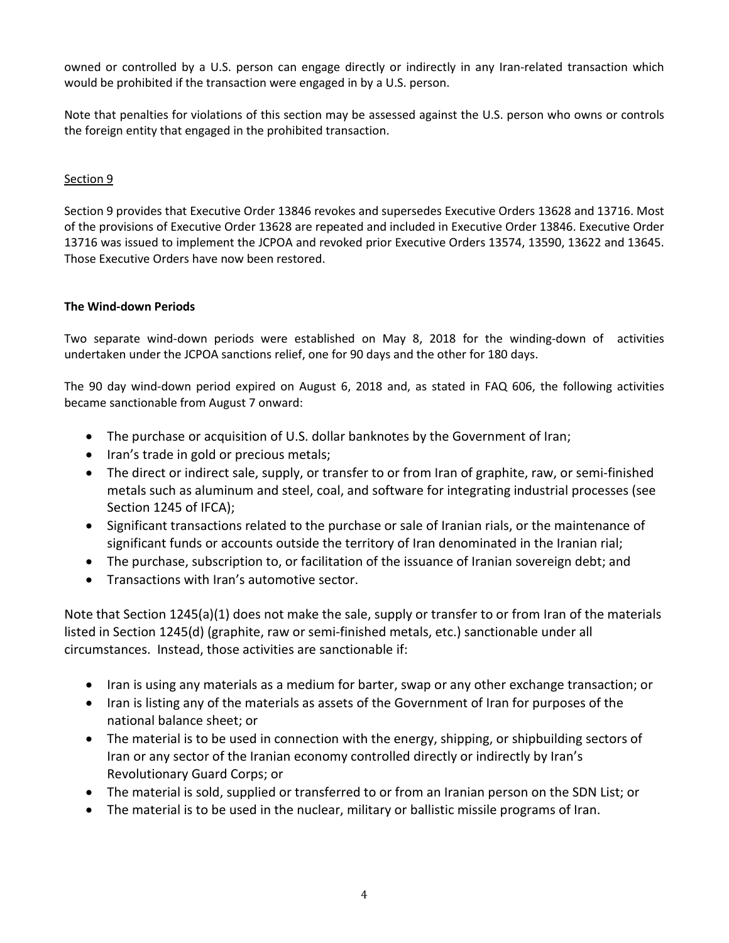owned or controlled by a U.S. person can engage directly or indirectly in any Iran-related transaction which would be prohibited if the transaction were engaged in by a U.S. person.

Note that penalties for violations of this section may be assessed against the U.S. person who owns or controls the foreign entity that engaged in the prohibited transaction.

## Section 9

Section 9 provides that Executive Order 13846 revokes and supersedes Executive Orders 13628 and 13716. Most of the provisions of Executive Order 13628 are repeated and included in Executive Order 13846. Executive Order 13716 was issued to implement the JCPOA and revoked prior Executive Orders 13574, 13590, 13622 and 13645. Those Executive Orders have now been restored.

## **The Wind-down Periods**

Two separate wind-down periods were established on May 8, 2018 for the winding-down of activities undertaken under the JCPOA sanctions relief, one for 90 days and the other for 180 days.

The 90 day wind-down period expired on August 6, 2018 and, as stated in FAQ 606, the following activities became sanctionable from August 7 onward:

- The purchase or acquisition of U.S. dollar banknotes by the Government of Iran;
- Iran's trade in gold or precious metals;
- The direct or indirect sale, supply, or transfer to or from Iran of graphite, raw, or semi-finished metals such as aluminum and steel, coal, and software for integrating industrial processes (see Section 1245 of IFCA);
- Significant transactions related to the purchase or sale of Iranian rials, or the maintenance of significant funds or accounts outside the territory of Iran denominated in the Iranian rial;
- The purchase, subscription to, or facilitation of the issuance of Iranian sovereign debt; and
- Transactions with Iran's automotive sector.

Note that Section 1245(a)(1) does not make the sale, supply or transfer to or from Iran of the materials listed in Section 1245(d) (graphite, raw or semi-finished metals, etc.) sanctionable under all circumstances. Instead, those activities are sanctionable if:

- Iran is using any materials as a medium for barter, swap or any other exchange transaction; or
- Iran is listing any of the materials as assets of the Government of Iran for purposes of the national balance sheet; or
- The material is to be used in connection with the energy, shipping, or shipbuilding sectors of Iran or any sector of the Iranian economy controlled directly or indirectly by Iran's Revolutionary Guard Corps; or
- The material is sold, supplied or transferred to or from an Iranian person on the SDN List; or
- The material is to be used in the nuclear, military or ballistic missile programs of Iran.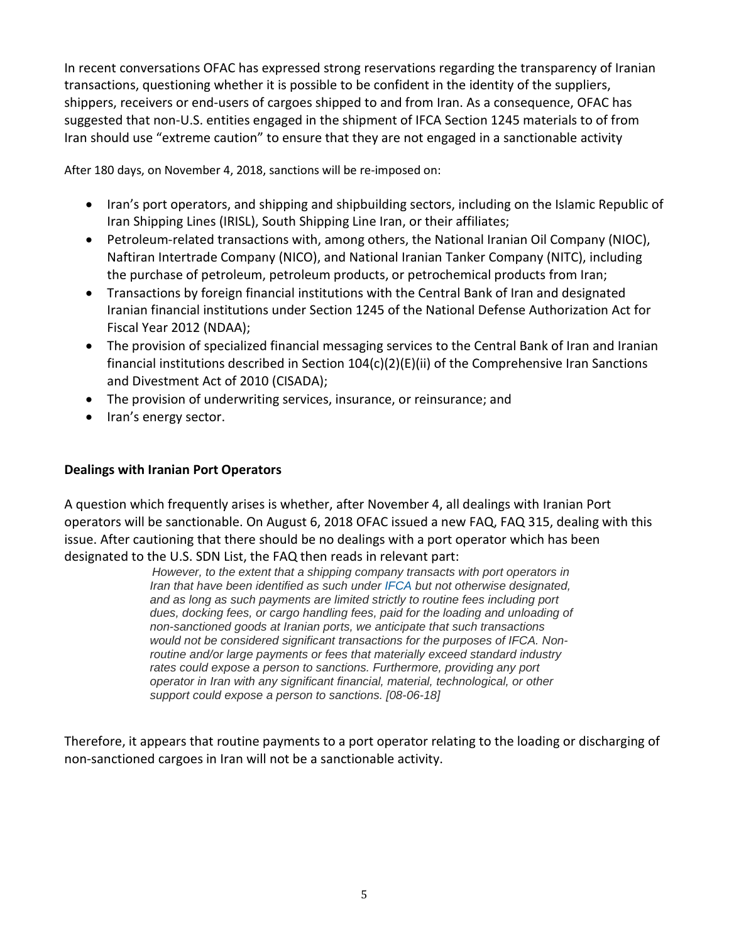In recent conversations OFAC has expressed strong reservations regarding the transparency of Iranian transactions, questioning whether it is possible to be confident in the identity of the suppliers, shippers, receivers or end-users of cargoes shipped to and from Iran. As a consequence, OFAC has suggested that non-U.S. entities engaged in the shipment of IFCA Section 1245 materials to of from Iran should use "extreme caution" to ensure that they are not engaged in a sanctionable activity

After 180 days, on November 4, 2018, sanctions will be re-imposed on:

- Iran's port operators, and shipping and shipbuilding sectors, including on the Islamic Republic of Iran Shipping Lines (IRISL), South Shipping Line Iran, or their affiliates;
- Petroleum-related transactions with, among others, the National Iranian Oil Company (NIOC), Naftiran Intertrade Company (NICO), and National Iranian Tanker Company (NITC), including the purchase of petroleum, petroleum products, or petrochemical products from Iran;
- Transactions by foreign financial institutions with the Central Bank of Iran and designated Iranian financial institutions under Section 1245 of the National Defense Authorization Act for Fiscal Year 2012 (NDAA);
- The provision of specialized financial messaging services to the Central Bank of Iran and Iranian financial institutions described in Section 104(c)(2)(E)(ii) of the Comprehensive Iran Sanctions and Divestment Act of 2010 (CISADA);
- The provision of underwriting services, insurance, or reinsurance; and
- Iran's energy sector.

# **Dealings with Iranian Port Operators**

A question which frequently arises is whether, after November 4, all dealings with Iranian Port operators will be sanctionable. On August 6, 2018 OFAC issued a new FAQ, FAQ 315, dealing with this issue. After cautioning that there should be no dealings with a port operator which has been designated to the U.S. SDN List, the FAQ then reads in relevant part:

*However, to the extent that a shipping company transacts with port operators in Iran that have been identified as such under IFCA but not otherwise designated, and as long as such payments are limited strictly to routine fees including port dues, docking fees, or cargo handling fees, paid for the loading and unloading of non-sanctioned goods at Iranian ports, we anticipate that such transactions would not be considered significant transactions for the purposes of IFCA. Nonroutine and/or large payments or fees that materially exceed standard industry rates could expose a person to sanctions. Furthermore, providing any port operator in Iran with any significant financial, material, technological, or other support could expose a person to sanctions. [08-06-18]* 

Therefore, it appears that routine payments to a port operator relating to the loading or discharging of non-sanctioned cargoes in Iran will not be a sanctionable activity.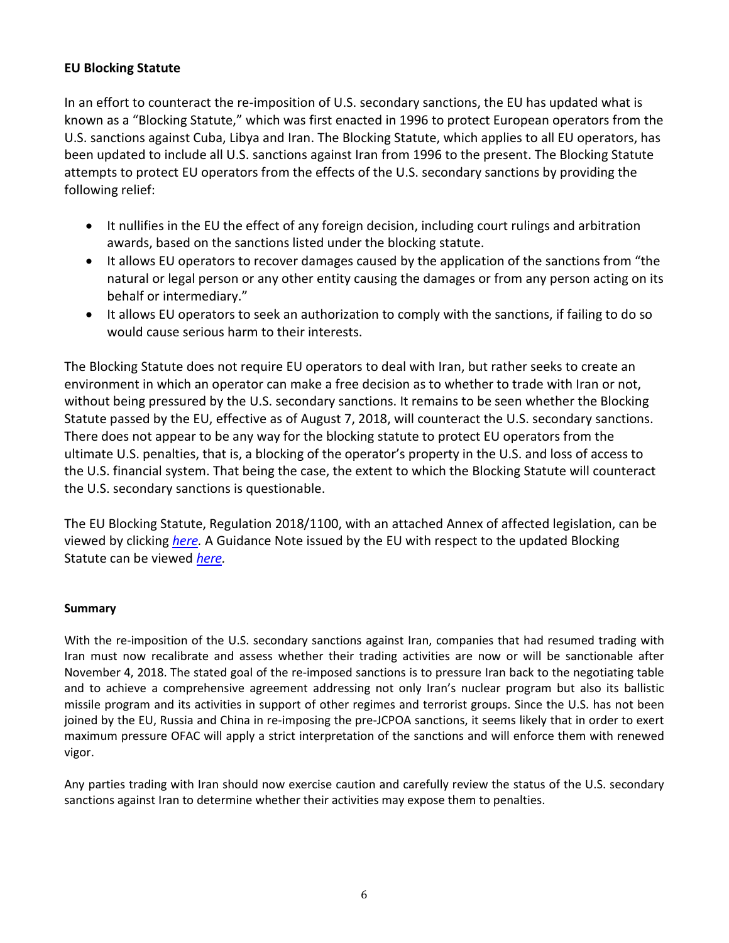# **EU Blocking Statute**

In an effort to counteract the re-imposition of U.S. secondary sanctions, the EU has updated what is known as a "Blocking Statute," which was first enacted in 1996 to protect European operators from the U.S. sanctions against Cuba, Libya and Iran. The Blocking Statute, which applies to all EU operators, has been updated to include all U.S. sanctions against Iran from 1996 to the present. The Blocking Statute attempts to protect EU operators from the effects of the U.S. secondary sanctions by providing the following relief:

- It nullifies in the EU the effect of any foreign decision, including court rulings and arbitration awards, based on the sanctions listed under the blocking statute.
- It allows EU operators to recover damages caused by the application of the sanctions from "the natural or legal person or any other entity causing the damages or from any person acting on its behalf or intermediary."
- It allows EU operators to seek an authorization to comply with the sanctions, if failing to do so would cause serious harm to their interests.

The Blocking Statute does not require EU operators to deal with Iran, but rather seeks to create an environment in which an operator can make a free decision as to whether to trade with Iran or not, without being pressured by the U.S. secondary sanctions. It remains to be seen whether the Blocking Statute passed by the EU, effective as of August 7, 2018, will counteract the U.S. secondary sanctions. There does not appear to be any way for the blocking statute to protect EU operators from the ultimate U.S. penalties, that is, a blocking of the operator's property in the U.S. and loss of access to the U.S. financial system. That being the case, the extent to which the Blocking Statute will counteract the U.S. secondary sanctions is questionable.

The EU Blocking Statute, Regulation 2018/1100, with an attached Annex of affected legislation, can be viewed by clicking *[here.](https://www.freehill.com/wp-content/uploads/2018/08/NYDOCS1-489922-v1-Regulations_for_Client_Alert.pdf)* A Guidance Note issued by the EU with respect to the updated Blocking Statute can be viewed *[here.](https://www.freehill.com/wp-content/uploads/2018/08/NYDOCS1-489923-v1-Guidance_Note_for_Client_Alert.pdf)*

#### **Summary**

With the re-imposition of the U.S. secondary sanctions against Iran, companies that had resumed trading with Iran must now recalibrate and assess whether their trading activities are now or will be sanctionable after November 4, 2018. The stated goal of the re-imposed sanctions is to pressure Iran back to the negotiating table and to achieve a comprehensive agreement addressing not only Iran's nuclear program but also its ballistic missile program and its activities in support of other regimes and terrorist groups. Since the U.S. has not been joined by the EU, Russia and China in re-imposing the pre-JCPOA sanctions, it seems likely that in order to exert maximum pressure OFAC will apply a strict interpretation of the sanctions and will enforce them with renewed vigor.

Any parties trading with Iran should now exercise caution and carefully review the status of the U.S. secondary sanctions against Iran to determine whether their activities may expose them to penalties.